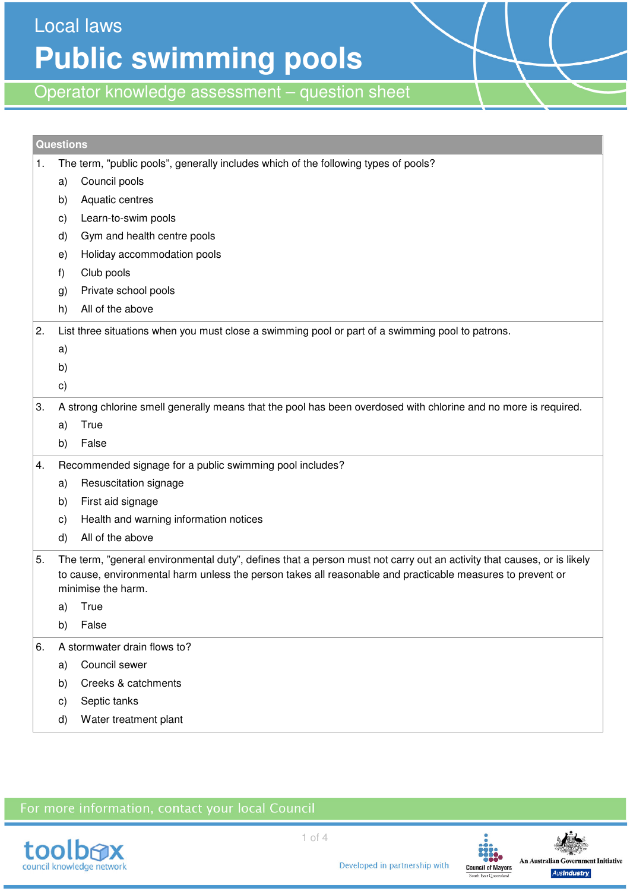Local laws **Public swimming pools** 

Operator knowledge assessment – question sheet

| <b>Questions</b> |                                                                                                                 |                                                                                                                                                                                                                                                            |  |  |  |  |
|------------------|-----------------------------------------------------------------------------------------------------------------|------------------------------------------------------------------------------------------------------------------------------------------------------------------------------------------------------------------------------------------------------------|--|--|--|--|
| 1.               | The term, "public pools", generally includes which of the following types of pools?                             |                                                                                                                                                                                                                                                            |  |  |  |  |
|                  | a)                                                                                                              | Council pools                                                                                                                                                                                                                                              |  |  |  |  |
|                  | b)                                                                                                              | Aquatic centres                                                                                                                                                                                                                                            |  |  |  |  |
|                  | $\mathsf{c})$                                                                                                   | Learn-to-swim pools                                                                                                                                                                                                                                        |  |  |  |  |
|                  | d)                                                                                                              | Gym and health centre pools                                                                                                                                                                                                                                |  |  |  |  |
|                  | e)                                                                                                              | Holiday accommodation pools                                                                                                                                                                                                                                |  |  |  |  |
|                  | f)                                                                                                              | Club pools                                                                                                                                                                                                                                                 |  |  |  |  |
|                  | g)                                                                                                              | Private school pools                                                                                                                                                                                                                                       |  |  |  |  |
|                  | h)                                                                                                              | All of the above                                                                                                                                                                                                                                           |  |  |  |  |
| 2.               |                                                                                                                 | List three situations when you must close a swimming pool or part of a swimming pool to patrons.                                                                                                                                                           |  |  |  |  |
|                  | a)                                                                                                              |                                                                                                                                                                                                                                                            |  |  |  |  |
|                  | b)                                                                                                              |                                                                                                                                                                                                                                                            |  |  |  |  |
|                  | $\mathbf{c})$                                                                                                   |                                                                                                                                                                                                                                                            |  |  |  |  |
| 3.               | A strong chlorine smell generally means that the pool has been overdosed with chlorine and no more is required. |                                                                                                                                                                                                                                                            |  |  |  |  |
|                  | a)                                                                                                              | True                                                                                                                                                                                                                                                       |  |  |  |  |
|                  | b)                                                                                                              | False                                                                                                                                                                                                                                                      |  |  |  |  |
| 4.               |                                                                                                                 | Recommended signage for a public swimming pool includes?                                                                                                                                                                                                   |  |  |  |  |
|                  | a)                                                                                                              | Resuscitation signage                                                                                                                                                                                                                                      |  |  |  |  |
|                  | b)                                                                                                              | First aid signage                                                                                                                                                                                                                                          |  |  |  |  |
|                  | C)                                                                                                              | Health and warning information notices                                                                                                                                                                                                                     |  |  |  |  |
|                  | d)                                                                                                              | All of the above                                                                                                                                                                                                                                           |  |  |  |  |
| 5.               |                                                                                                                 | The term, "general environmental duty", defines that a person must not carry out an activity that causes, or is likely<br>to cause, environmental harm unless the person takes all reasonable and practicable measures to prevent or<br>minimise the harm. |  |  |  |  |
|                  | a)                                                                                                              | True                                                                                                                                                                                                                                                       |  |  |  |  |
|                  | b)                                                                                                              | False                                                                                                                                                                                                                                                      |  |  |  |  |
| 6.               | A stormwater drain flows to?                                                                                    |                                                                                                                                                                                                                                                            |  |  |  |  |
|                  | a)                                                                                                              | Council sewer                                                                                                                                                                                                                                              |  |  |  |  |
|                  | b)                                                                                                              | Creeks & catchments                                                                                                                                                                                                                                        |  |  |  |  |
|                  | $\mathsf{c})$                                                                                                   | Septic tanks                                                                                                                                                                                                                                               |  |  |  |  |
|                  | d)                                                                                                              | Water treatment plant                                                                                                                                                                                                                                      |  |  |  |  |

## For more information, contact your local Council



Developed in partnership with

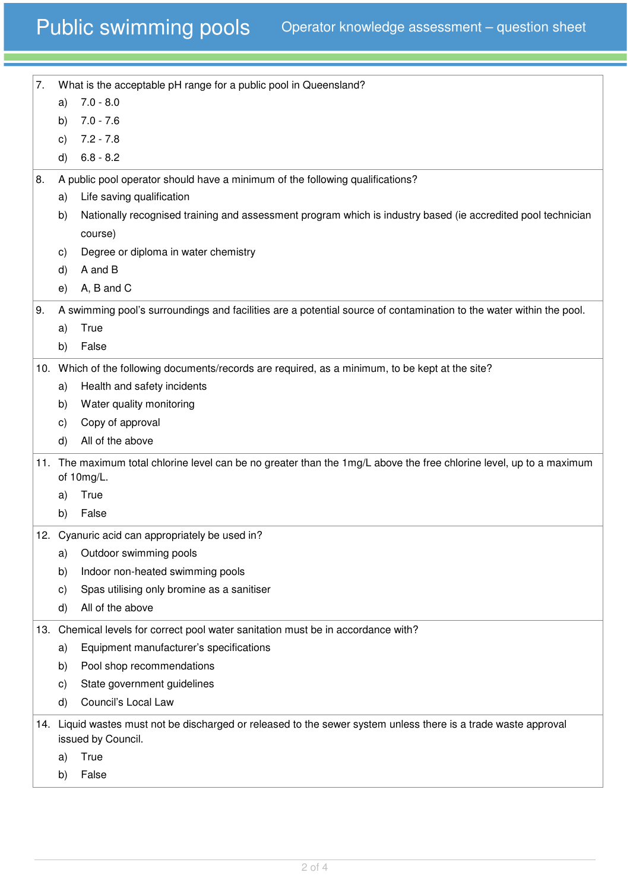| 7.  |                                                                                                                                       | What is the acceptable pH range for a public pool in Queensland?                                                                   |  |
|-----|---------------------------------------------------------------------------------------------------------------------------------------|------------------------------------------------------------------------------------------------------------------------------------|--|
|     | a)                                                                                                                                    | $7.0 - 8.0$                                                                                                                        |  |
|     | b)                                                                                                                                    | $7.0 - 7.6$                                                                                                                        |  |
|     | C)                                                                                                                                    | $7.2 - 7.8$                                                                                                                        |  |
|     | d)                                                                                                                                    | $6.8 - 8.2$                                                                                                                        |  |
| 8.  |                                                                                                                                       | A public pool operator should have a minimum of the following qualifications?                                                      |  |
|     | a)                                                                                                                                    | Life saving qualification                                                                                                          |  |
|     | b)                                                                                                                                    | Nationally recognised training and assessment program which is industry based (ie accredited pool technician                       |  |
|     |                                                                                                                                       | course)                                                                                                                            |  |
|     | C)                                                                                                                                    | Degree or diploma in water chemistry                                                                                               |  |
|     | d)                                                                                                                                    | A and B                                                                                                                            |  |
|     | e)                                                                                                                                    | A, B and C                                                                                                                         |  |
| 9.  |                                                                                                                                       | A swimming pool's surroundings and facilities are a potential source of contamination to the water within the pool.                |  |
|     | a)                                                                                                                                    | True                                                                                                                               |  |
|     | b)                                                                                                                                    | False                                                                                                                              |  |
|     |                                                                                                                                       | 10. Which of the following documents/records are required, as a minimum, to be kept at the site?                                   |  |
|     | a)                                                                                                                                    | Health and safety incidents                                                                                                        |  |
|     | b)                                                                                                                                    | Water quality monitoring                                                                                                           |  |
|     | C)                                                                                                                                    | Copy of approval                                                                                                                   |  |
|     | d)                                                                                                                                    | All of the above                                                                                                                   |  |
|     |                                                                                                                                       |                                                                                                                                    |  |
|     |                                                                                                                                       | 11. The maximum total chlorine level can be no greater than the 1mg/L above the free chlorine level, up to a maximum<br>of 10mg/L. |  |
|     | a)                                                                                                                                    | True                                                                                                                               |  |
|     | b)                                                                                                                                    | False                                                                                                                              |  |
| 12. |                                                                                                                                       | Cyanuric acid can appropriately be used in?                                                                                        |  |
|     | a)                                                                                                                                    | Outdoor swimming pools                                                                                                             |  |
|     | b)                                                                                                                                    | Indoor non-heated swimming pools                                                                                                   |  |
|     | C)                                                                                                                                    | Spas utilising only bromine as a sanitiser                                                                                         |  |
|     | d)                                                                                                                                    | All of the above                                                                                                                   |  |
|     |                                                                                                                                       |                                                                                                                                    |  |
|     |                                                                                                                                       | 13. Chemical levels for correct pool water sanitation must be in accordance with?                                                  |  |
|     | a)                                                                                                                                    | Equipment manufacturer's specifications                                                                                            |  |
|     | b)                                                                                                                                    | Pool shop recommendations                                                                                                          |  |
|     | C)                                                                                                                                    | State government guidelines                                                                                                        |  |
|     | d)                                                                                                                                    | Council's Local Law                                                                                                                |  |
|     | 14. Liquid wastes must not be discharged or released to the sewer system unless there is a trade waste approval<br>issued by Council. |                                                                                                                                    |  |
|     | a)                                                                                                                                    | True                                                                                                                               |  |
|     | b)                                                                                                                                    | False                                                                                                                              |  |
|     |                                                                                                                                       |                                                                                                                                    |  |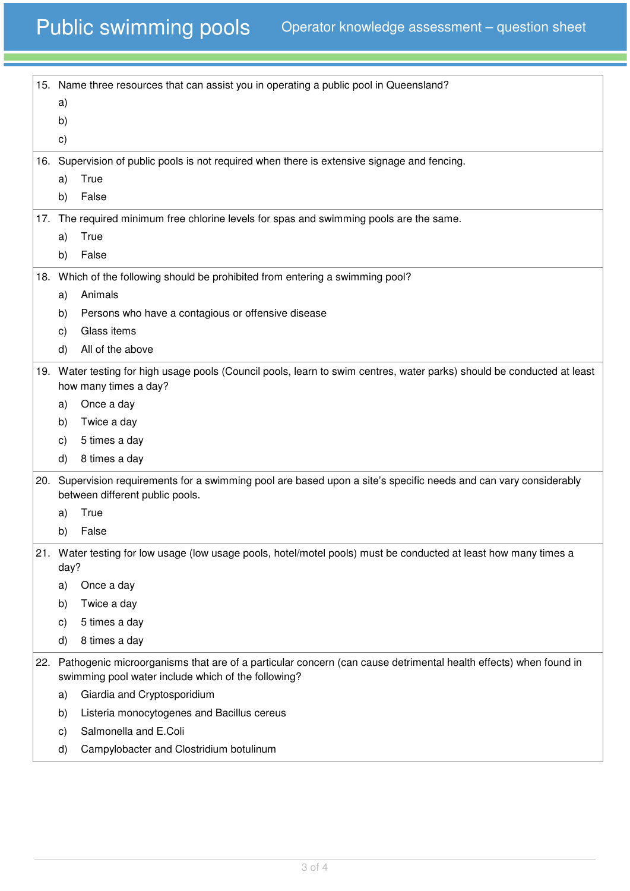|                                 | 15. Name three resources that can assist you in operating a public pool in Queensland?                                  |                                                                                                                                                                            |  |  |  |
|---------------------------------|-------------------------------------------------------------------------------------------------------------------------|----------------------------------------------------------------------------------------------------------------------------------------------------------------------------|--|--|--|
|                                 | a)                                                                                                                      |                                                                                                                                                                            |  |  |  |
|                                 | b)                                                                                                                      |                                                                                                                                                                            |  |  |  |
|                                 | $\mathbf{c})$                                                                                                           |                                                                                                                                                                            |  |  |  |
|                                 |                                                                                                                         | 16. Supervision of public pools is not required when there is extensive signage and fencing.                                                                               |  |  |  |
|                                 | a)                                                                                                                      | True                                                                                                                                                                       |  |  |  |
|                                 | b)                                                                                                                      | False                                                                                                                                                                      |  |  |  |
|                                 |                                                                                                                         | 17. The required minimum free chlorine levels for spas and swimming pools are the same.                                                                                    |  |  |  |
|                                 | a)                                                                                                                      | True                                                                                                                                                                       |  |  |  |
|                                 | b)                                                                                                                      | False                                                                                                                                                                      |  |  |  |
|                                 |                                                                                                                         | 18. Which of the following should be prohibited from entering a swimming pool?                                                                                             |  |  |  |
|                                 | a)                                                                                                                      | Animals                                                                                                                                                                    |  |  |  |
|                                 | b)                                                                                                                      | Persons who have a contagious or offensive disease                                                                                                                         |  |  |  |
|                                 | C)                                                                                                                      | Glass items                                                                                                                                                                |  |  |  |
|                                 | d)                                                                                                                      | All of the above                                                                                                                                                           |  |  |  |
|                                 | 19. Water testing for high usage pools (Council pools, learn to swim centres, water parks) should be conducted at least |                                                                                                                                                                            |  |  |  |
|                                 | how many times a day?                                                                                                   |                                                                                                                                                                            |  |  |  |
|                                 | a)                                                                                                                      | Once a day                                                                                                                                                                 |  |  |  |
|                                 | b)                                                                                                                      | Twice a day                                                                                                                                                                |  |  |  |
|                                 | C)                                                                                                                      | 5 times a day                                                                                                                                                              |  |  |  |
|                                 | d)                                                                                                                      | 8 times a day                                                                                                                                                              |  |  |  |
| between different public pools. |                                                                                                                         | 20. Supervision requirements for a swimming pool are based upon a site's specific needs and can vary considerably                                                          |  |  |  |
|                                 | a)                                                                                                                      | True                                                                                                                                                                       |  |  |  |
|                                 | b)                                                                                                                      | False                                                                                                                                                                      |  |  |  |
|                                 | day?                                                                                                                    | 21. Water testing for low usage (low usage pools, hotel/motel pools) must be conducted at least how many times a                                                           |  |  |  |
|                                 | a)                                                                                                                      | Once a day                                                                                                                                                                 |  |  |  |
|                                 | b)                                                                                                                      | Twice a day                                                                                                                                                                |  |  |  |
|                                 | $\mathsf{c})$                                                                                                           | 5 times a day                                                                                                                                                              |  |  |  |
|                                 | d)                                                                                                                      | 8 times a day                                                                                                                                                              |  |  |  |
|                                 |                                                                                                                         | 22. Pathogenic microorganisms that are of a particular concern (can cause detrimental health effects) when found in<br>swimming pool water include which of the following? |  |  |  |
|                                 | a)                                                                                                                      | Giardia and Cryptosporidium                                                                                                                                                |  |  |  |
|                                 | b)                                                                                                                      | Listeria monocytogenes and Bacillus cereus                                                                                                                                 |  |  |  |
|                                 | $\mathsf{c})$                                                                                                           | Salmonella and E.Coli                                                                                                                                                      |  |  |  |
|                                 | d)                                                                                                                      | Campylobacter and Clostridium botulinum                                                                                                                                    |  |  |  |